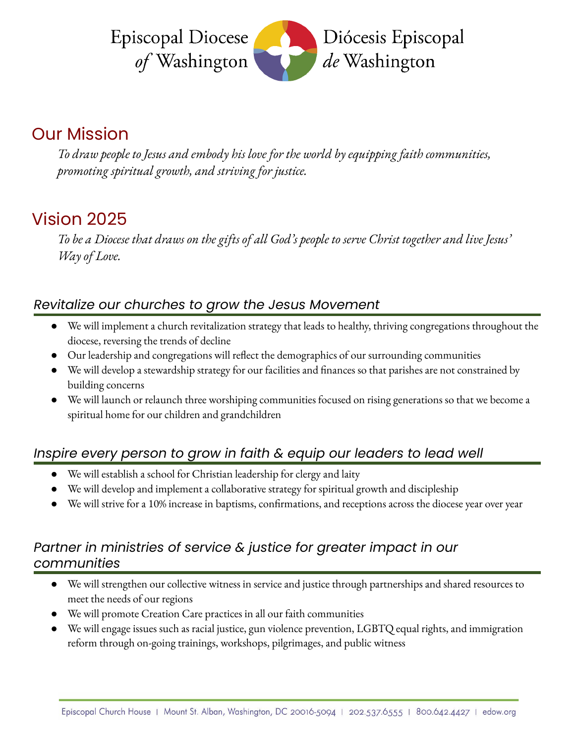

# Our Mission

*To draw people to Jesus and embody his love for the world by equipping faith communities, promoting spiritual growth, and striving for justice.*

# Vision 2025

To be a Diocese that draws on the gifts of all God's people to serve Christ together and live Jesus' *Way of Love.*

#### *Revitalize our churches to grow the Jesus [Movement](https://www.episcopalchurch.org/jesus-movement)*

- We will implement a church revitalization strategy that leads to healthy, thriving congregations throughout the diocese, reversing the trends of decline
- Our leadership and congregations will reflect the demographics of our surrounding communities
- We will develop a stewardship strategy for our facilities and finances so that parishes are not constrained by building concerns
- We will launch or relaunch three worshiping communities focused on rising generations so that we become a spiritual home for our children and grandchildren

## *Inspire every person to grow in faith & equip our leaders to lead well*

- We will establish a school for Christian leadership for clergy and laity
- We will develop and implement a collaborative strategy for spiritual growth and discipleship
- We will strive for a 10% increase in baptisms, confirmations, and receptions across the diocese year over year

#### *Partner in ministries of service & justice for greater impact in our communities*

- We will strengthen our collective witness in service and justice through partnerships and shared resources to meet the needs of our regions
- We will promote [Creation](https://www.episcopalchurch.org/creation-care) Care practices in all our faith communities
- We will engage issues such as racial justice, gun violence prevention, LGBTQ equal rights, and immigration reform through on-going trainings, workshops, pilgrimages, and public witness